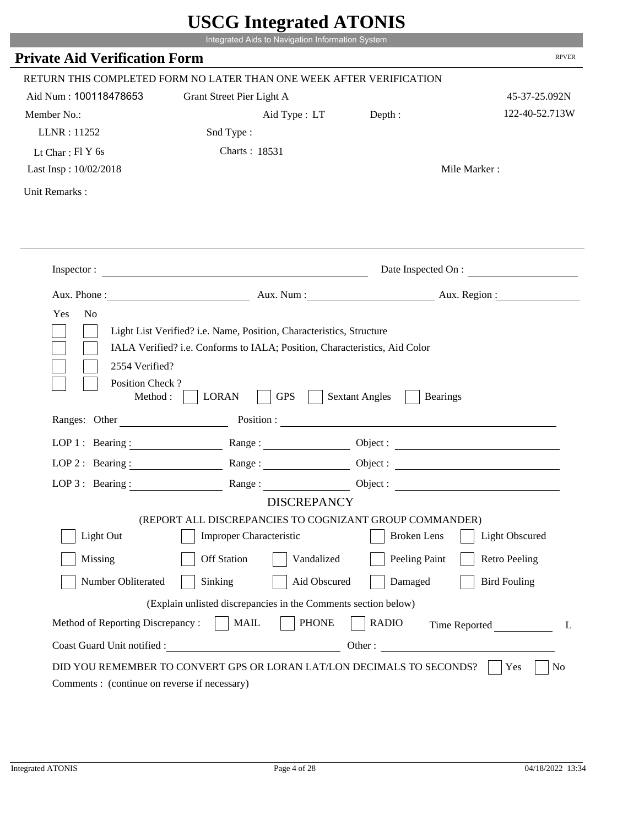|                                         | UDUU IIIIU ARUU ATUNID<br>Integrated Aids to Navigation Information System                                                                         |                                                                                                                                                                                                                                |                        |
|-----------------------------------------|----------------------------------------------------------------------------------------------------------------------------------------------------|--------------------------------------------------------------------------------------------------------------------------------------------------------------------------------------------------------------------------------|------------------------|
| <b>Private Aid Verification Form</b>    |                                                                                                                                                    |                                                                                                                                                                                                                                | <b>RPVER</b>           |
|                                         | RETURN THIS COMPLETED FORM NO LATER THAN ONE WEEK AFTER VERIFICATION                                                                               |                                                                                                                                                                                                                                |                        |
| Aid Num: 100118478653                   | Grant Street Pier Light A                                                                                                                          |                                                                                                                                                                                                                                | 45-37-25.092N          |
| Member No.:                             | Aid Type : LT Depth :                                                                                                                              |                                                                                                                                                                                                                                | 122-40-52.713W         |
| LLNR: 11252                             | Snd Type:                                                                                                                                          |                                                                                                                                                                                                                                |                        |
| Lt Char: $FIY$ 6s                       | Charts: 18531                                                                                                                                      |                                                                                                                                                                                                                                |                        |
| Last Insp: 10/02/2018                   |                                                                                                                                                    |                                                                                                                                                                                                                                | Mile Marker:           |
|                                         |                                                                                                                                                    |                                                                                                                                                                                                                                |                        |
| Unit Remarks:                           |                                                                                                                                                    |                                                                                                                                                                                                                                |                        |
|                                         |                                                                                                                                                    |                                                                                                                                                                                                                                |                        |
|                                         | Inspector:                                                                                                                                         |                                                                                                                                                                                                                                | Date Inspected On :    |
| Aux. Phone :                            |                                                                                                                                                    |                                                                                                                                                                                                                                | Aux. Num: Aux. Region: |
| Yes<br>N <sub>o</sub><br>2554 Verified? | Light List Verified? i.e. Name, Position, Characteristics, Structure<br>IALA Verified? i.e. Conforms to IALA; Position, Characteristics, Aid Color |                                                                                                                                                                                                                                |                        |
| Position Check?<br>Method:              | <b>GPS</b><br><b>LORAN</b>                                                                                                                         | <b>Sextant Angles</b><br><b>Bearings</b>                                                                                                                                                                                       |                        |
| Ranges: Other                           |                                                                                                                                                    | Position : The Contract of the Contract of the Contract of the Contract of the Contract of the Contract of the Contract of the Contract of the Contract of the Contract of the Contract of the Contract of the Contract of the |                        |
| LOP 1 : Bearing : $\qquad \qquad$       |                                                                                                                                                    |                                                                                                                                                                                                                                |                        |
| $LOP$ 2 : Bearing :                     | Range:                                                                                                                                             |                                                                                                                                                                                                                                |                        |
| LOP $3$ : Bearing :                     | Range:                                                                                                                                             |                                                                                                                                                                                                                                |                        |
|                                         | <b>DISCREPANCY</b>                                                                                                                                 |                                                                                                                                                                                                                                |                        |
| Light Out                               | (REPORT ALL DISCREPANCIES TO COGNIZANT GROUP COMMANDER)<br><b>Improper Characteristic</b>                                                          | <b>Broken</b> Lens                                                                                                                                                                                                             | <b>Light Obscured</b>  |
| Missing                                 | <b>Off Station</b><br>Vandalized                                                                                                                   | Peeling Paint                                                                                                                                                                                                                  | <b>Retro Peeling</b>   |
| Number Obliterated                      | Sinking<br>Aid Obscured                                                                                                                            | Damaged                                                                                                                                                                                                                        | <b>Bird Fouling</b>    |
|                                         | (Explain unlisted discrepancies in the Comments section below)                                                                                     |                                                                                                                                                                                                                                |                        |
| Method of Reporting Discrepancy:        | <b>PHONE</b><br><b>MAIL</b>                                                                                                                        | <b>RADIO</b>                                                                                                                                                                                                                   | Time Reported<br>L     |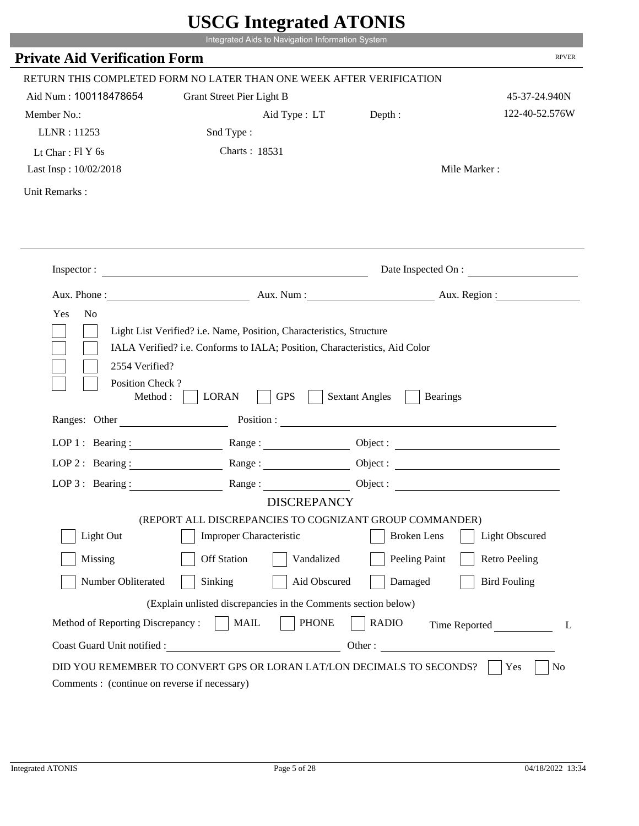|                                      | UDUU IIIItgi altu ATUNID                                                                                                                           |                       |                          |
|--------------------------------------|----------------------------------------------------------------------------------------------------------------------------------------------------|-----------------------|--------------------------|
|                                      | Integrated Aids to Navigation Information System                                                                                                   |                       |                          |
| <b>Private Aid Verification Form</b> |                                                                                                                                                    |                       | <b>RPVER</b>             |
|                                      | RETURN THIS COMPLETED FORM NO LATER THAN ONE WEEK AFTER VERIFICATION                                                                               |                       |                          |
| Aid Num: 100118478654                | Grant Street Pier Light B                                                                                                                          |                       | 45-37-24.940N            |
| Member No.:                          |                                                                                                                                                    | Aid Type : LT Depth : | 122-40-52.576W           |
| LLNR: 11253                          | Snd Type:                                                                                                                                          |                       |                          |
| Lt Char: $FIY$ 6s                    | Charts: 18531                                                                                                                                      |                       |                          |
| Last Insp: 10/02/2018                |                                                                                                                                                    |                       | Mile Marker:             |
| Unit Remarks:                        |                                                                                                                                                    |                       |                          |
|                                      |                                                                                                                                                    |                       |                          |
|                                      |                                                                                                                                                    |                       |                          |
|                                      | Inspector:                                                                                                                                         |                       | Date Inspected On :      |
|                                      |                                                                                                                                                    |                       | Aux. Num : Aux. Region : |
| 2554 Verified?                       | Light List Verified? i.e. Name, Position, Characteristics, Structure<br>IALA Verified? i.e. Conforms to IALA; Position, Characteristics, Aid Color |                       |                          |
| Position Check?<br>Method :          | <b>GPS</b><br><b>LORAN</b>                                                                                                                         | <b>Sextant Angles</b> | <b>Bearings</b>          |
| Ranges: Other                        |                                                                                                                                                    | Position :            |                          |
| LOP 1 : Bearing :                    |                                                                                                                                                    |                       |                          |
| LOP $2:$ Bearing :                   |                                                                                                                                                    |                       | Object :                 |
| $LOP$ 3 : Bearing :                  | Range:                                                                                                                                             |                       | Object :                 |
|                                      | <b>DISCREPANCY</b>                                                                                                                                 |                       |                          |
| Light Out                            | (REPORT ALL DISCREPANCIES TO COGNIZANT GROUP COMMANDER)<br><b>Improper Characteristic</b>                                                          | <b>Broken</b> Lens    | <b>Light Obscured</b>    |
| Missing                              | <b>Off Station</b><br>Vandalized                                                                                                                   | Peeling Paint         | <b>Retro Peeling</b>     |
| Number Obliterated                   | Aid Obscured<br>Sinking                                                                                                                            | Damaged               | <b>Bird Fouling</b>      |
|                                      | (Explain unlisted discrepancies in the Comments section below)                                                                                     |                       |                          |
| Method of Reporting Discrepancy:     | <b>PHONE</b><br><b>MAIL</b>                                                                                                                        | <b>RADIO</b>          | Time Reported<br>L       |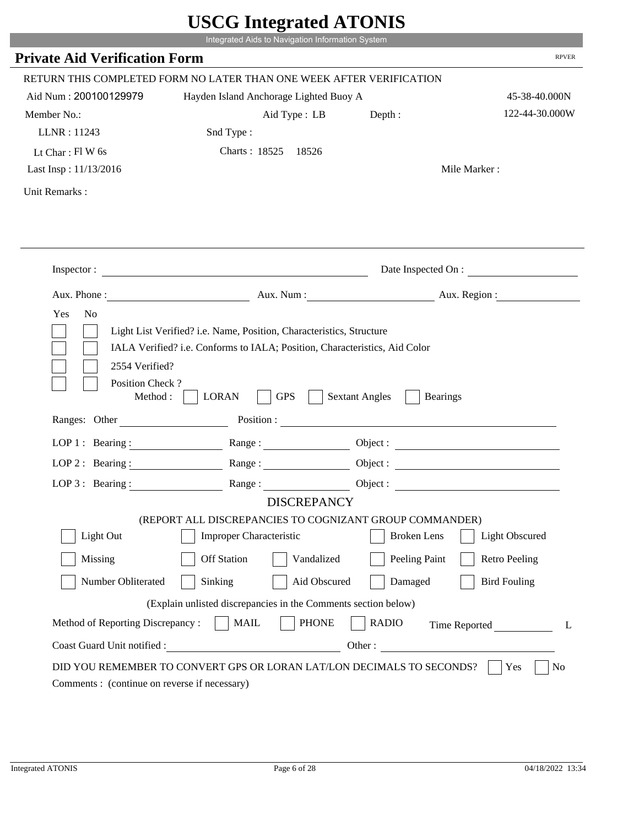|                                                       | $\sim$<br>Integrated Aids to Navigation Information System                                                                          |                                          |                       |
|-------------------------------------------------------|-------------------------------------------------------------------------------------------------------------------------------------|------------------------------------------|-----------------------|
| <b>Private Aid Verification Form</b>                  |                                                                                                                                     |                                          | <b>RPVER</b>          |
|                                                       | RETURN THIS COMPLETED FORM NO LATER THAN ONE WEEK AFTER VERIFICATION                                                                |                                          |                       |
| Aid Num: 200100129979                                 | Hayden Island Anchorage Lighted Buoy A                                                                                              |                                          | 45-38-40.000N         |
| Member No.:                                           | Aid Type : LB                                                                                                                       | Depth:                                   | 122-44-30.000W        |
| LLNR: 11243                                           | Snd Type:                                                                                                                           |                                          |                       |
| Lt Char: $Fl$ W 6s                                    | Charts: 18525 18526                                                                                                                 |                                          |                       |
| Last Insp: 11/13/2016                                 |                                                                                                                                     |                                          | Mile Marker:          |
| Unit Remarks:                                         |                                                                                                                                     |                                          |                       |
|                                                       |                                                                                                                                     |                                          | Date Inspected On :   |
|                                                       |                                                                                                                                     |                                          |                       |
| Yes<br>N <sub>o</sub>                                 | Aux. Phone : Aux. Num : Aux. Num : Aux. Num : Aux. Region :<br>Light List Verified? i.e. Name, Position, Characteristics, Structure |                                          |                       |
| 2554 Verified?<br>Position Check?<br>Method : $\vert$ | IALA Verified? i.e. Conforms to IALA; Position, Characteristics, Aid Color<br><b>GPS</b><br><b>LORAN</b>                            | <b>Sextant Angles</b><br><b>Bearings</b> |                       |
| Ranges: Other                                         |                                                                                                                                     |                                          |                       |
|                                                       | LOP 1: Bearing: Range:                                                                                                              |                                          |                       |
| LOP 2: Bearing:                                       |                                                                                                                                     |                                          |                       |
|                                                       | LOP 3: Bearing: Range: Range: Object:                                                                                               |                                          |                       |
|                                                       | <b>DISCREPANCY</b>                                                                                                                  |                                          |                       |
| Light Out                                             | (REPORT ALL DISCREPANCIES TO COGNIZANT GROUP COMMANDER)<br>Improper Characteristic                                                  | <b>Broken</b> Lens                       | <b>Light Obscured</b> |
|                                                       |                                                                                                                                     |                                          |                       |
| Missing                                               | <b>Off Station</b><br>Vandalized                                                                                                    | Peeling Paint                            | <b>Retro Peeling</b>  |
| Number Obliterated                                    | Sinking<br>Aid Obscured                                                                                                             | Damaged                                  | <b>Bird Fouling</b>   |
|                                                       | (Explain unlisted discrepancies in the Comments section below)                                                                      |                                          |                       |
| Method of Reporting Discrepancy:                      | <b>MAIL</b><br><b>PHONE</b>                                                                                                         | <b>RADIO</b><br>Other:                   | Time Reported<br>L    |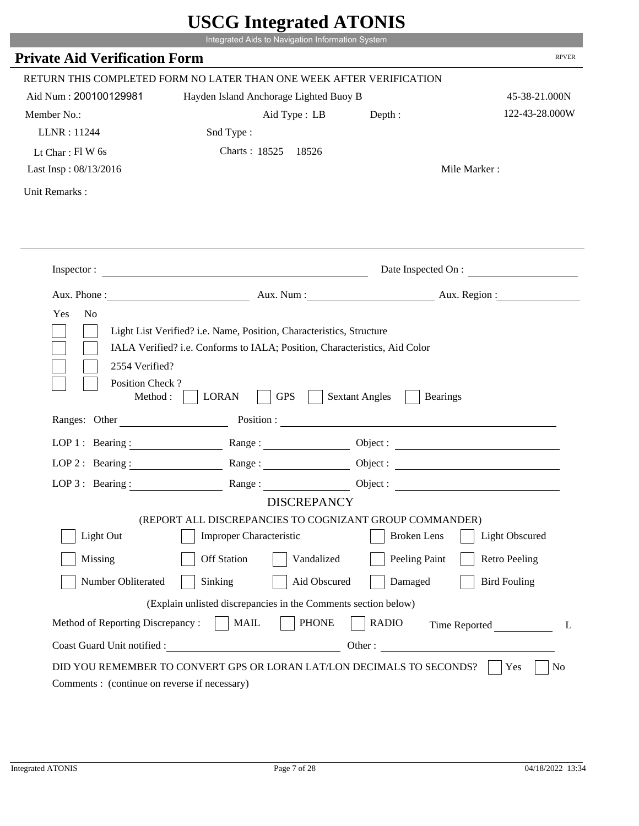|                                              | Integrated Aids to Navigation Information System                                                                                                   |                                          |                       |
|----------------------------------------------|----------------------------------------------------------------------------------------------------------------------------------------------------|------------------------------------------|-----------------------|
| <b>Private Aid Verification Form</b>         |                                                                                                                                                    |                                          | <b>RPVER</b>          |
|                                              | RETURN THIS COMPLETED FORM NO LATER THAN ONE WEEK AFTER VERIFICATION                                                                               |                                          |                       |
| Aid Num: 200100129981                        | Hayden Island Anchorage Lighted Buoy B                                                                                                             |                                          | 45-38-21.000N         |
| Member No.:                                  | Aid Type : LB                                                                                                                                      | Depth:                                   | 122-43-28.000W        |
| LLNR: 11244                                  | Snd Type:                                                                                                                                          |                                          |                       |
| Lt Char: $Fl$ W 6s                           | Charts: 18525 18526                                                                                                                                |                                          |                       |
| Last Insp: 08/13/2016                        |                                                                                                                                                    |                                          | Mile Marker:          |
| Unit Remarks:                                |                                                                                                                                                    |                                          |                       |
|                                              |                                                                                                                                                    |                                          |                       |
|                                              | Inspector:                                                                                                                                         |                                          | Date Inspected On :   |
|                                              | Aux. Phone: Aux. Aux. Num : Aux. Aux. Region :                                                                                                     |                                          |                       |
| 2554 Verified?                               | Light List Verified? i.e. Name, Position, Characteristics, Structure<br>IALA Verified? i.e. Conforms to IALA; Position, Characteristics, Aid Color |                                          |                       |
| Position Check?<br>Method :<br>Ranges: Other | <b>GPS</b><br><b>LORAN</b>                                                                                                                         | <b>Sextant Angles</b><br><b>Bearings</b> |                       |
|                                              |                                                                                                                                                    |                                          |                       |
|                                              | LOP 1: Bearing : Range :                                                                                                                           |                                          | Object:               |
| LOP 2 : Bearing :                            |                                                                                                                                                    |                                          |                       |
|                                              | LOP 3: Bearing: Range: Name: Object:<br><b>DISCREPANCY</b>                                                                                         |                                          |                       |
|                                              | (REPORT ALL DISCREPANCIES TO COGNIZANT GROUP COMMANDER)                                                                                            |                                          |                       |
| Light Out                                    | Improper Characteristic                                                                                                                            | <b>Broken</b> Lens                       | <b>Light Obscured</b> |
| Missing                                      | <b>Off Station</b><br>Vandalized                                                                                                                   | Peeling Paint                            | <b>Retro Peeling</b>  |
| Number Obliterated                           | Sinking<br>Aid Obscured                                                                                                                            | Damaged                                  | <b>Bird Fouling</b>   |
|                                              | (Explain unlisted discrepancies in the Comments section below)                                                                                     |                                          |                       |
| Method of Reporting Discrepancy:             | <b>PHONE</b><br><b>MAIL</b>                                                                                                                        | <b>RADIO</b>                             |                       |
| Coast Guard Unit notified :                  | <u> 1989 - Johann Barbara, martxa alemaniar a</u>                                                                                                  | Other:                                   | Time Reported<br>L    |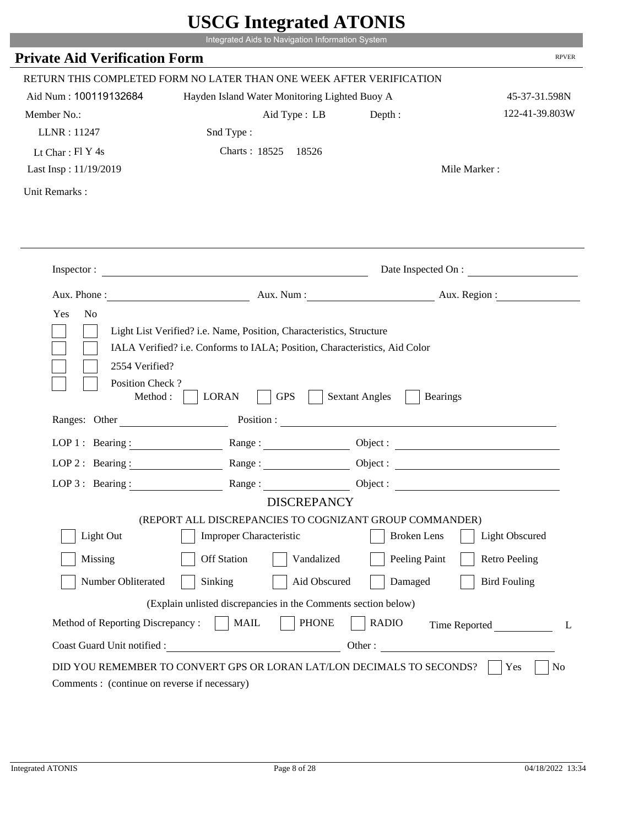|                                         | Integrated Aids to Navigation Information System                                                                                                   |                                          |                       |
|-----------------------------------------|----------------------------------------------------------------------------------------------------------------------------------------------------|------------------------------------------|-----------------------|
| <b>Private Aid Verification Form</b>    |                                                                                                                                                    |                                          | <b>RPVER</b>          |
|                                         | RETURN THIS COMPLETED FORM NO LATER THAN ONE WEEK AFTER VERIFICATION                                                                               |                                          |                       |
| Aid Num: 100119132684                   | Hayden Island Water Monitoring Lighted Buoy A                                                                                                      |                                          | 45-37-31.598N         |
| Member No.:                             | Aid Type : LB                                                                                                                                      | Depth:                                   | 122-41-39.803W        |
| LLNR: 11247                             | Snd Type:                                                                                                                                          |                                          |                       |
| Lt Char: $FI Y 4s$                      | Charts: 18525 18526                                                                                                                                |                                          |                       |
| Last Insp: 11/19/2019                   |                                                                                                                                                    |                                          | Mile Marker:          |
| Unit Remarks:                           |                                                                                                                                                    |                                          |                       |
|                                         |                                                                                                                                                    |                                          |                       |
|                                         |                                                                                                                                                    |                                          | Date Inspected On :   |
|                                         | Aux. Phone : Aux. Num : Aux. Num : Aux. Num : Aux. Region :                                                                                        |                                          |                       |
| Yes<br>N <sub>o</sub><br>2554 Verified? | Light List Verified? i.e. Name, Position, Characteristics, Structure<br>IALA Verified? i.e. Conforms to IALA; Position, Characteristics, Aid Color |                                          |                       |
| Position Check?<br>Method : $\vert$     | <b>GPS</b><br><b>LORAN</b>                                                                                                                         | <b>Sextant Angles</b><br><b>Bearings</b> |                       |
| Ranges: Other                           |                                                                                                                                                    |                                          |                       |
|                                         | LOP 1: Bearing: Range:                                                                                                                             |                                          |                       |
| LOP 2 : Bearing :                       |                                                                                                                                                    |                                          |                       |
|                                         | LOP 3: Bearing: Range: Range: Object:                                                                                                              |                                          |                       |
|                                         | <b>DISCREPANCY</b>                                                                                                                                 |                                          |                       |
| Light Out                               | (REPORT ALL DISCREPANCIES TO COGNIZANT GROUP COMMANDER)<br>Improper Characteristic                                                                 | <b>Broken</b> Lens                       | <b>Light Obscured</b> |
|                                         |                                                                                                                                                    |                                          |                       |
| Missing                                 | <b>Off Station</b><br>Vandalized                                                                                                                   | Peeling Paint                            | <b>Retro Peeling</b>  |
| Number Obliterated                      | Sinking<br>Aid Obscured                                                                                                                            | Damaged                                  | <b>Bird Fouling</b>   |
|                                         | (Explain unlisted discrepancies in the Comments section below)                                                                                     |                                          |                       |
| Method of Reporting Discrepancy:        | <b>MAIL</b><br><b>PHONE</b>                                                                                                                        | <b>RADIO</b><br>Other:                   | Time Reported<br>L    |

Т.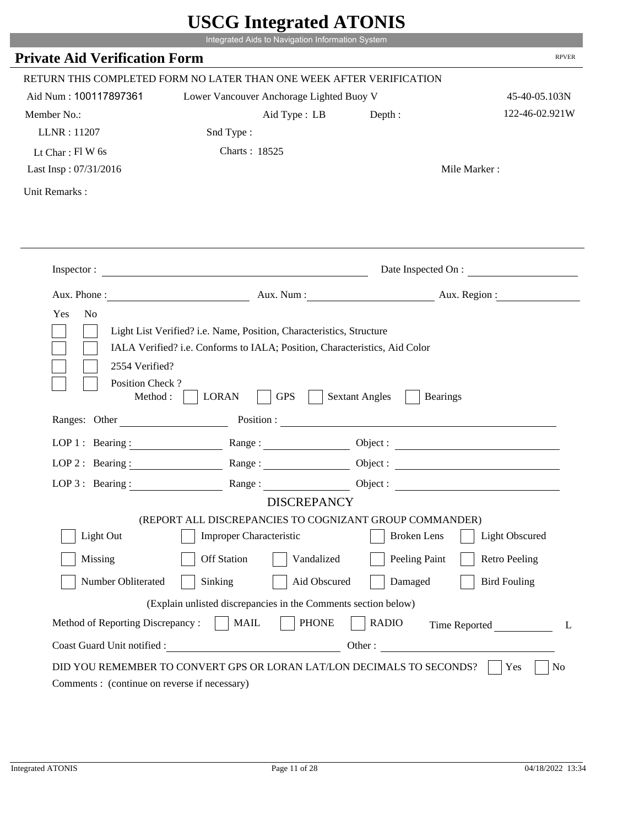| Integrated Aids to Navigation Information System<br><b>Private Aid Verification Form</b><br>Lower Vancouver Anchorage Lighted Buoy V<br>Aid Type : LB<br>Depth :<br>LLNR: 11207<br>Snd Type:<br>Charts: 18525<br>Mile Marker:<br>Date Inspected On :<br>Aux. Phone: Aux. Num : Aux. Num : Aux. Region :<br>Yes<br>N <sub>o</sub><br>Light List Verified? i.e. Name, Position, Characteristics, Structure<br>IALA Verified? i.e. Conforms to IALA; Position, Characteristics, Aid Color<br>2554 Verified?<br>Position Check?<br><b>GPS</b><br>Method : $\vert$<br><b>LORAN</b><br><b>Sextant Angles</b><br><b>Bearings</b><br>$\sim$ 1<br>Position :<br>Ranges: Other<br>LOP 1: Bearing: Range:<br>LOP 2 : Bearing : $\qquad \qquad$ Range :<br>LOP $3:$ Bearing :<br>Object :<br>Range:<br><b>DISCREPANCY</b><br>(REPORT ALL DISCREPANCIES TO COGNIZANT GROUP COMMANDER)<br><b>Broken</b> Lens<br><b>Light Obscured</b><br>Light Out<br>Improper Characteristic<br>Missing<br><b>Off Station</b><br>Vandalized<br>Peeling Paint<br><b>Retro Peeling</b> |  |                |
|---------------------------------------------------------------------------------------------------------------------------------------------------------------------------------------------------------------------------------------------------------------------------------------------------------------------------------------------------------------------------------------------------------------------------------------------------------------------------------------------------------------------------------------------------------------------------------------------------------------------------------------------------------------------------------------------------------------------------------------------------------------------------------------------------------------------------------------------------------------------------------------------------------------------------------------------------------------------------------------------------------------------------------------------------------|--|----------------|
| RETURN THIS COMPLETED FORM NO LATER THAN ONE WEEK AFTER VERIFICATION<br>Aid Num: 100117897361                                                                                                                                                                                                                                                                                                                                                                                                                                                                                                                                                                                                                                                                                                                                                                                                                                                                                                                                                           |  |                |
|                                                                                                                                                                                                                                                                                                                                                                                                                                                                                                                                                                                                                                                                                                                                                                                                                                                                                                                                                                                                                                                         |  | <b>RPVER</b>   |
|                                                                                                                                                                                                                                                                                                                                                                                                                                                                                                                                                                                                                                                                                                                                                                                                                                                                                                                                                                                                                                                         |  |                |
| Member No.:<br>Lt Char: Fl W 6s<br>Last Insp: 07/31/2016<br>Unit Remarks:                                                                                                                                                                                                                                                                                                                                                                                                                                                                                                                                                                                                                                                                                                                                                                                                                                                                                                                                                                               |  | 45-40-05.103N  |
|                                                                                                                                                                                                                                                                                                                                                                                                                                                                                                                                                                                                                                                                                                                                                                                                                                                                                                                                                                                                                                                         |  | 122-46-02.921W |
|                                                                                                                                                                                                                                                                                                                                                                                                                                                                                                                                                                                                                                                                                                                                                                                                                                                                                                                                                                                                                                                         |  |                |
|                                                                                                                                                                                                                                                                                                                                                                                                                                                                                                                                                                                                                                                                                                                                                                                                                                                                                                                                                                                                                                                         |  |                |
|                                                                                                                                                                                                                                                                                                                                                                                                                                                                                                                                                                                                                                                                                                                                                                                                                                                                                                                                                                                                                                                         |  |                |
|                                                                                                                                                                                                                                                                                                                                                                                                                                                                                                                                                                                                                                                                                                                                                                                                                                                                                                                                                                                                                                                         |  |                |
|                                                                                                                                                                                                                                                                                                                                                                                                                                                                                                                                                                                                                                                                                                                                                                                                                                                                                                                                                                                                                                                         |  |                |
|                                                                                                                                                                                                                                                                                                                                                                                                                                                                                                                                                                                                                                                                                                                                                                                                                                                                                                                                                                                                                                                         |  |                |
|                                                                                                                                                                                                                                                                                                                                                                                                                                                                                                                                                                                                                                                                                                                                                                                                                                                                                                                                                                                                                                                         |  |                |
|                                                                                                                                                                                                                                                                                                                                                                                                                                                                                                                                                                                                                                                                                                                                                                                                                                                                                                                                                                                                                                                         |  |                |
|                                                                                                                                                                                                                                                                                                                                                                                                                                                                                                                                                                                                                                                                                                                                                                                                                                                                                                                                                                                                                                                         |  |                |
|                                                                                                                                                                                                                                                                                                                                                                                                                                                                                                                                                                                                                                                                                                                                                                                                                                                                                                                                                                                                                                                         |  |                |
|                                                                                                                                                                                                                                                                                                                                                                                                                                                                                                                                                                                                                                                                                                                                                                                                                                                                                                                                                                                                                                                         |  |                |
|                                                                                                                                                                                                                                                                                                                                                                                                                                                                                                                                                                                                                                                                                                                                                                                                                                                                                                                                                                                                                                                         |  |                |
|                                                                                                                                                                                                                                                                                                                                                                                                                                                                                                                                                                                                                                                                                                                                                                                                                                                                                                                                                                                                                                                         |  |                |
|                                                                                                                                                                                                                                                                                                                                                                                                                                                                                                                                                                                                                                                                                                                                                                                                                                                                                                                                                                                                                                                         |  |                |
|                                                                                                                                                                                                                                                                                                                                                                                                                                                                                                                                                                                                                                                                                                                                                                                                                                                                                                                                                                                                                                                         |  |                |
| Number Obliterated<br>Sinking<br>Aid Obscured<br>Damaged<br><b>Bird Fouling</b>                                                                                                                                                                                                                                                                                                                                                                                                                                                                                                                                                                                                                                                                                                                                                                                                                                                                                                                                                                         |  |                |
| (Explain unlisted discrepancies in the Comments section below)                                                                                                                                                                                                                                                                                                                                                                                                                                                                                                                                                                                                                                                                                                                                                                                                                                                                                                                                                                                          |  |                |
| <b>PHONE</b><br>Method of Reporting Discrepancy:<br><b>MAIL</b><br><b>RADIO</b><br>Time Reported                                                                                                                                                                                                                                                                                                                                                                                                                                                                                                                                                                                                                                                                                                                                                                                                                                                                                                                                                        |  |                |
|                                                                                                                                                                                                                                                                                                                                                                                                                                                                                                                                                                                                                                                                                                                                                                                                                                                                                                                                                                                                                                                         |  |                |
| Other:<br>Coast Guard Unit notified :                                                                                                                                                                                                                                                                                                                                                                                                                                                                                                                                                                                                                                                                                                                                                                                                                                                                                                                                                                                                                   |  |                |

Т.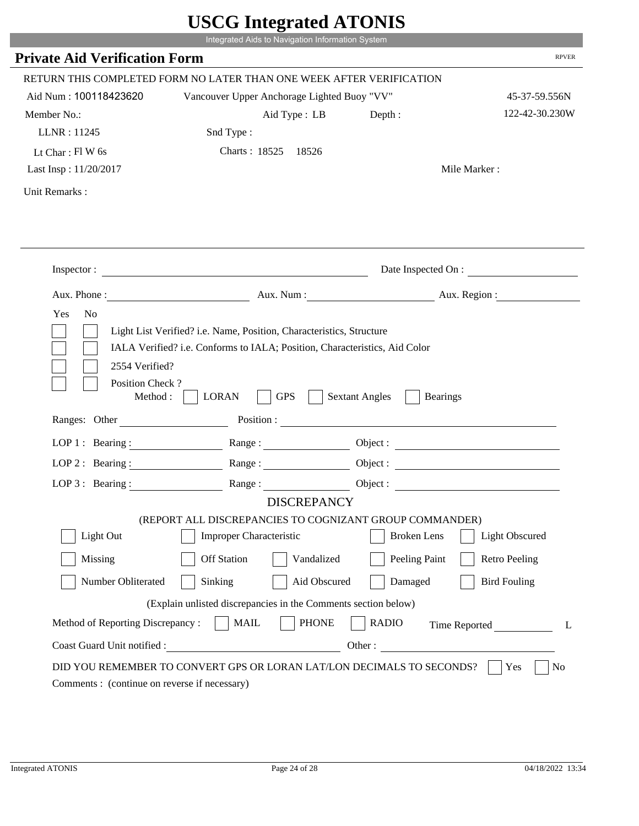|                                         | Integrated Aids to Navigation Information System                                                                                                   |                                          |                       |
|-----------------------------------------|----------------------------------------------------------------------------------------------------------------------------------------------------|------------------------------------------|-----------------------|
| <b>Private Aid Verification Form</b>    |                                                                                                                                                    |                                          | <b>RPVER</b>          |
|                                         | RETURN THIS COMPLETED FORM NO LATER THAN ONE WEEK AFTER VERIFICATION                                                                               |                                          |                       |
| Aid Num: 100118423620                   | Vancouver Upper Anchorage Lighted Buoy "VV"                                                                                                        |                                          | 45-37-59.556N         |
| Member No.:                             | Aid Type : LB                                                                                                                                      | Depth:                                   | 122-42-30.230W        |
| LLNR: 11245                             | Snd Type:                                                                                                                                          |                                          |                       |
| Lt Char: $FI$ W 6s                      | Charts: 18525 18526                                                                                                                                |                                          |                       |
| Last Insp: 11/20/2017                   |                                                                                                                                                    |                                          | Mile Marker:          |
| Unit Remarks:                           |                                                                                                                                                    |                                          |                       |
|                                         |                                                                                                                                                    |                                          |                       |
|                                         |                                                                                                                                                    |                                          | Date Inspected On :   |
|                                         | Aux. Phone : Aux. Num : Aux. Num : Aux. Num : Aux. Region :                                                                                        |                                          |                       |
| Yes<br>N <sub>o</sub><br>2554 Verified? | Light List Verified? i.e. Name, Position, Characteristics, Structure<br>IALA Verified? i.e. Conforms to IALA; Position, Characteristics, Aid Color |                                          |                       |
| Position Check?<br>Method : $\vert$     | <b>GPS</b><br><b>LORAN</b>                                                                                                                         | <b>Sextant Angles</b><br><b>Bearings</b> |                       |
| Ranges: Other                           |                                                                                                                                                    |                                          |                       |
|                                         | LOP 1: Bearing: Range:                                                                                                                             |                                          |                       |
| LOP 2: Bearing:                         |                                                                                                                                                    |                                          |                       |
|                                         | LOP 3: Bearing: Range: Range: Object:                                                                                                              |                                          |                       |
|                                         | <b>DISCREPANCY</b>                                                                                                                                 |                                          |                       |
|                                         | (REPORT ALL DISCREPANCIES TO COGNIZANT GROUP COMMANDER)                                                                                            |                                          |                       |
| Light Out                               | Improper Characteristic                                                                                                                            | <b>Broken</b> Lens                       | <b>Light Obscured</b> |
| Missing                                 | <b>Off Station</b><br>Vandalized                                                                                                                   | Peeling Paint                            | <b>Retro Peeling</b>  |
| Number Obliterated                      | Sinking<br>Aid Obscured                                                                                                                            | Damaged                                  | <b>Bird Fouling</b>   |
|                                         | (Explain unlisted discrepancies in the Comments section below)                                                                                     |                                          |                       |
| Method of Reporting Discrepancy:        | <b>MAIL</b><br><b>PHONE</b>                                                                                                                        | <b>RADIO</b>                             | Time Reported<br>L    |

i i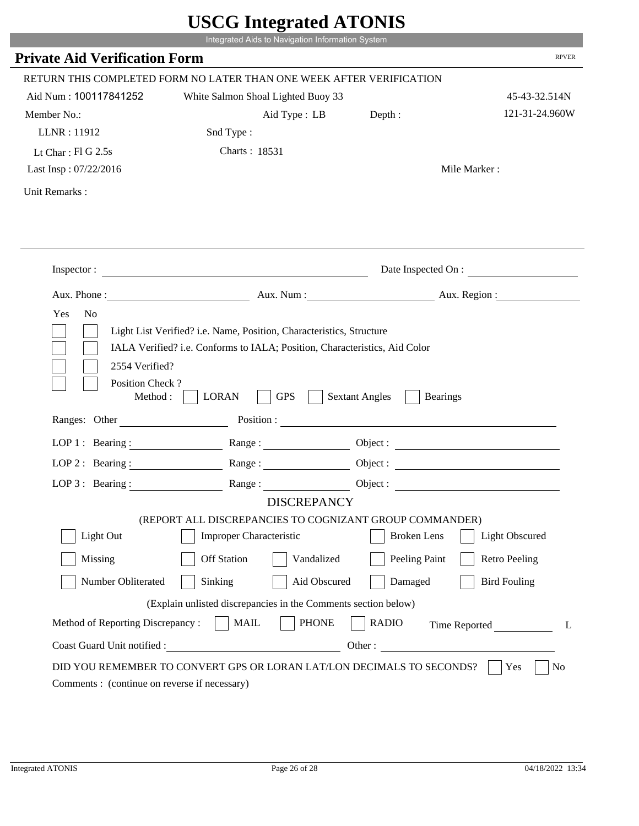|                                              | UDUU IIIIU ARUU ATUNID<br>Integrated Aids to Navigation Information System                                                                                                                                                     |                                          |                        |
|----------------------------------------------|--------------------------------------------------------------------------------------------------------------------------------------------------------------------------------------------------------------------------------|------------------------------------------|------------------------|
| <b>Private Aid Verification Form</b>         |                                                                                                                                                                                                                                |                                          | <b>RPVER</b>           |
|                                              |                                                                                                                                                                                                                                |                                          |                        |
|                                              | RETURN THIS COMPLETED FORM NO LATER THAN ONE WEEK AFTER VERIFICATION                                                                                                                                                           |                                          |                        |
| Aid Num: 100117841252                        | White Salmon Shoal Lighted Buoy 33                                                                                                                                                                                             |                                          | 45-43-32.514N          |
| Member No.:                                  | Aid Type : LB Depth :                                                                                                                                                                                                          |                                          | 121-31-24.960W         |
| LLNR: 11912                                  | Snd Type:                                                                                                                                                                                                                      |                                          |                        |
| Lt Char: $FI$ G 2.5s                         | Charts: 18531                                                                                                                                                                                                                  |                                          |                        |
| Last Insp: 07/22/2016                        |                                                                                                                                                                                                                                |                                          | Mile Marker:           |
| Unit Remarks:                                |                                                                                                                                                                                                                                |                                          |                        |
|                                              |                                                                                                                                                                                                                                |                                          |                        |
|                                              | Inspector:                                                                                                                                                                                                                     |                                          | Date Inspected On :    |
| Aux. Phone :                                 |                                                                                                                                                                                                                                |                                          | Aux. Num: Aux. Region: |
| Yes<br>N <sub>o</sub>                        | Light List Verified? i.e. Name, Position, Characteristics, Structure<br>IALA Verified? i.e. Conforms to IALA; Position, Characteristics, Aid Color                                                                             |                                          |                        |
| 2554 Verified?<br>Position Check?<br>Method: | <b>GPS</b><br><b>LORAN</b>                                                                                                                                                                                                     | <b>Sextant Angles</b><br><b>Bearings</b> |                        |
| Ranges: Other                                | Position : The Contract of the Contract of the Contract of the Contract of the Contract of the Contract of the Contract of the Contract of the Contract of the Contract of the Contract of the Contract of the Contract of the |                                          |                        |
| LOP 1 : Bearing :                            |                                                                                                                                                                                                                                |                                          |                        |
| $LOP$ 2 : Bearing :                          | Range :                                                                                                                                                                                                                        |                                          |                        |
| LOP $3$ : Bearing :                          | Range:                                                                                                                                                                                                                         |                                          |                        |
|                                              | <b>DISCREPANCY</b>                                                                                                                                                                                                             |                                          |                        |
| Light Out                                    | (REPORT ALL DISCREPANCIES TO COGNIZANT GROUP COMMANDER)<br><b>Improper Characteristic</b>                                                                                                                                      | <b>Broken</b> Lens                       | <b>Light Obscured</b>  |
|                                              |                                                                                                                                                                                                                                |                                          |                        |
| Missing                                      | <b>Off Station</b><br>Vandalized                                                                                                                                                                                               | Peeling Paint                            | <b>Retro Peeling</b>   |
| Number Obliterated                           | Sinking<br>Aid Obscured                                                                                                                                                                                                        | Damaged                                  | <b>Bird Fouling</b>    |
|                                              | (Explain unlisted discrepancies in the Comments section below)                                                                                                                                                                 |                                          |                        |
| Method of Reporting Discrepancy:             | <b>PHONE</b><br><b>MAIL</b>                                                                                                                                                                                                    | <b>RADIO</b>                             | Time Reported<br>L     |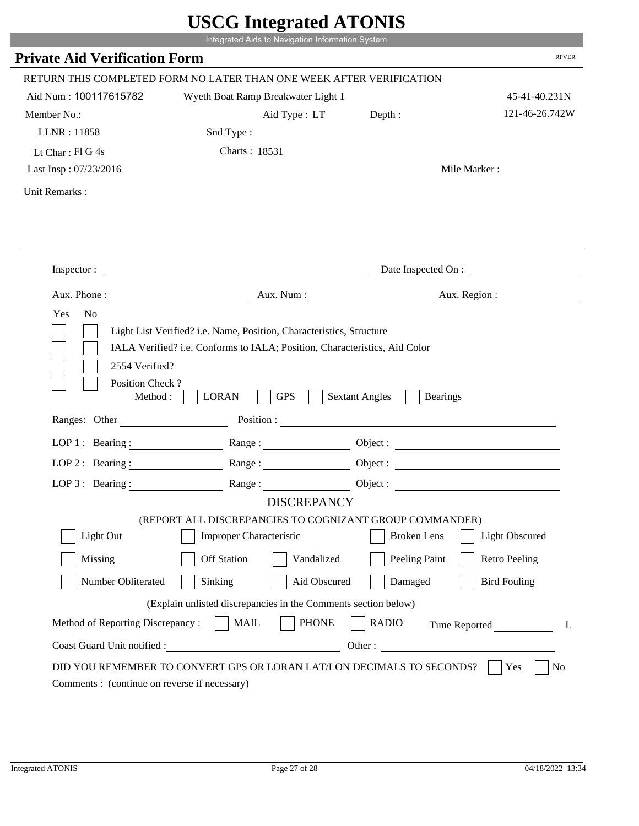|                                             | Integrated Aids to Navigation Information System                                          |                                          |                              |
|---------------------------------------------|-------------------------------------------------------------------------------------------|------------------------------------------|------------------------------|
|                                             |                                                                                           |                                          | <b>RPVER</b>                 |
| <b>Private Aid Verification Form</b>        |                                                                                           |                                          |                              |
|                                             | RETURN THIS COMPLETED FORM NO LATER THAN ONE WEEK AFTER VERIFICATION                      |                                          |                              |
| Aid Num: 100117615782                       | Wyeth Boat Ramp Breakwater Light 1                                                        |                                          | 45-41-40.231N                |
| Member No.:                                 | Aid Type : LT Depth :                                                                     |                                          | 121-46-26.742W               |
| LLNR: 11858                                 | Snd Type:                                                                                 |                                          |                              |
| Lt Char: Fl G 4s                            | Charts: 18531                                                                             |                                          |                              |
| Last Insp: 07/23/2016                       |                                                                                           |                                          | Mile Marker:                 |
| Unit Remarks:                               |                                                                                           |                                          |                              |
|                                             |                                                                                           |                                          |                              |
|                                             | Inspector: $\qquad \qquad$                                                                |                                          | Date Inspected On :          |
|                                             |                                                                                           |                                          | Aux. Num: Aux. Region:       |
| 2554 Verified?                              | IALA Verified? i.e. Conforms to IALA; Position, Characteristics, Aid Color                |                                          |                              |
| Position Check?<br>Method:<br>Ranges: Other | <b>GPS</b><br><b>LORAN</b>                                                                | <b>Sextant Angles</b><br><b>Bearings</b> |                              |
|                                             |                                                                                           | Position :                               |                              |
| LOP 1 : Bearing :                           |                                                                                           |                                          |                              |
| LOP $2:$ Bearing :                          | Range:                                                                                    |                                          | Object :                     |
| $LOP 3:$ Bearing :                          | Range:                                                                                    |                                          | Object :                     |
|                                             | <b>DISCREPANCY</b>                                                                        |                                          |                              |
| Light Out                                   | (REPORT ALL DISCREPANCIES TO COGNIZANT GROUP COMMANDER)<br><b>Improper Characteristic</b> | <b>Broken</b> Lens                       | <b>Light Obscured</b>        |
| Missing                                     | <b>Off Station</b><br>Vandalized                                                          | Peeling Paint                            | <b>Retro Peeling</b>         |
| Number Obliterated                          | Aid Obscured<br>Sinking                                                                   | Damaged                                  | <b>Bird Fouling</b>          |
|                                             | (Explain unlisted discrepancies in the Comments section below)                            |                                          |                              |
| Method of Reporting Discrepancy:            | <b>PHONE</b><br><b>MAIL</b>                                                               | <b>RADIO</b>                             |                              |
| Coast Guard Unit notified :                 |                                                                                           |                                          | Time Reported<br>L<br>Other: |